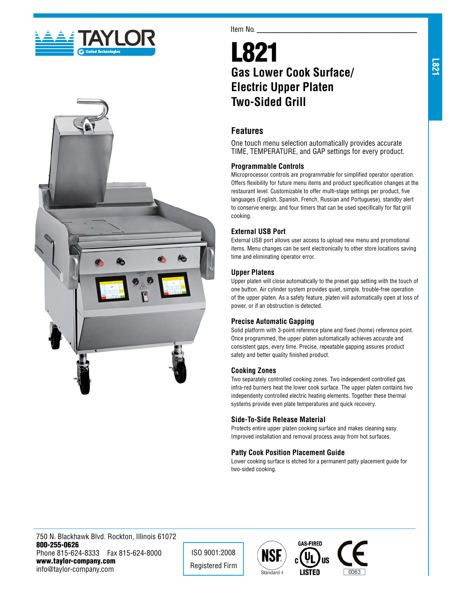



#### Item No.

# L821 **Gas Lower Cook Surface/ Electric Upper Platen Two-Sided Grill**

## **Features**

One touch menu selection automatically provides accurate TIME, TEMPERATURE, and GAP settings for every product.

#### **Programmable Controls**

Microprocessor controls are programmable for simplified operator operation. Offers flexibility for future menu items and product specification changes at the restaurant level. Customizable to offer multi-stage settings per product, five languages (English, Spanish, French, Russian and Portuguese), standby alert to conserve energy, and four timers that can be used specifically for flat grill cooking.

## **External USB Port**

External USB port allows user access to upload new menu and promotional items. Menu changes can be sent electronically to other store locations saving time and eliminating operator error.

#### **Upper Platens**

Upper platen will close automatically to the preset gap setting with the touch of one button. Air cylinder system provides quiet, simple, trouble-free operation of the upper platen. As a safety feature, platen will automatically open at loss of power, or if an obstruction is detected.

## **Precise Automatic Gapping**

Solid platform with 3-point reference plane and fixed (home) reference point. Once programmed, the upper platen automatically achieves accurate and consistent gaps, every time. Precise, repeatable gapping assures product safety and better quality finished product.

#### **Cooking Zones**

Two separately controlled cooking zones. Two independent controlled gas infra-red burners heat the lower cook surface. The upper platen contains two independenty controlled electric heating elements. Together these thermal systems provide even plate temperatures and quick recovery.

#### **Side-To-Side Release Material**

Protects entire upper platen cooking surface and makes cleaning easy. Improved installation and removal process away from hot surfaces.

## **Patty Cook Position Placement Guide**

Lower cooking surface is etched for a permanent patty placement guide for two-sided cooking.

750 N. Blackhawk Blvd. Rockton, Illinois 61072 800-255-0626 Phone 815-624-8333 Fax 815-624-8000 www.taylor-company.com info@taylor-company.com

ISO 9001:2008 Registered Firm